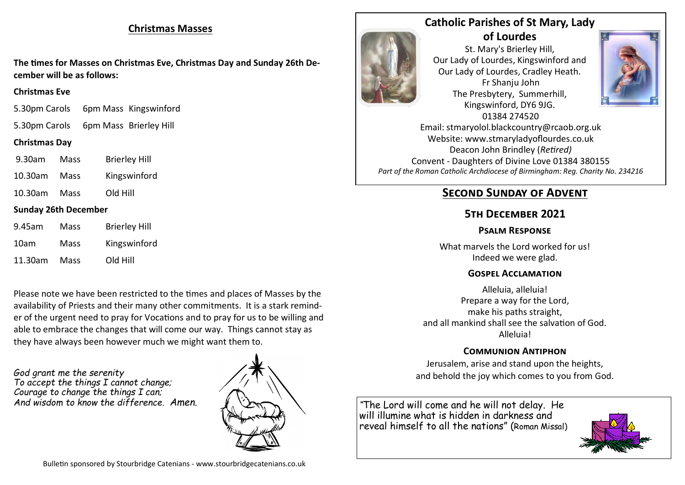## **Christmas Masses**

**The times for Masses on Christmas Eve, Christmas Day and Sunday 26th December will be as follows:**

#### **Christmas Eve**

- 5.30pm Carols 6pm Mass Kingswinford
- 5.30pm Carols 6pm Mass Brierley Hill

## **Christmas Day**

- 9.30am Mass Brierley Hill
- 10.30am Mass Kingswinford
- 10.30am Mass Old Hill

## **Sunday 26th December**

| 9.45am  | Mass | <b>Brierley Hill</b> |
|---------|------|----------------------|
| 10am    | Mass | Kingswinford         |
| 11.30am | Mass | Old Hill             |

Please note we have been restricted to the times and places of Masses by the availability of Priests and their many other commitments. It is a stark reminder of the urgent need to pray for Vocations and to pray for us to be willing and able to embrace the changes that will come our way. Things cannot stay as they have always been however much we might want them to.

*God grant me the serenity To accept the things I cannot change; Courage to change the things I can; And wisdom to know the difference. Amen.*





## **Catholic Parishes of St Mary, Lady of Lourdes**

St. Mary's Brierley Hill, Our Lady of Lourdes, Kingswinford and Our Lady of Lourdes, Cradley Heath. Fr Shanju John The Presbytery, Summerhill, Kingswinford, DY6 9JG. 01384 274520



Email: stmaryolol.blackcountry@rcaob.org.uk Website: www.stmaryladyoflourdes.co.uk Deacon John Brindley (*Retired)* Convent - Daughters of Divine Love 01384 380155 *Part of the Roman Catholic Archdiocese of Birmingham: Reg. Charity No. 234216*

# **SECOND SUNDAY OF ADVENT**

## **5th December 2021**

### **Psalm Response**

What marvels the Lord worked for us! Indeed we were glad.

#### **Gospel Acclamation**

Alleluia, alleluia! Prepare a way for the Lord, make his paths straight, and all mankind shall see the salvation of God. Alleluia!

## **Communion Antiphon**

Jerusalem, arise and stand upon the heights, and behold the joy which comes to you from God.

*"*The Lord will come and he will not delay. He will illumine what is hidden in darkness and reveal himself to all the nations" (Roman Missal)